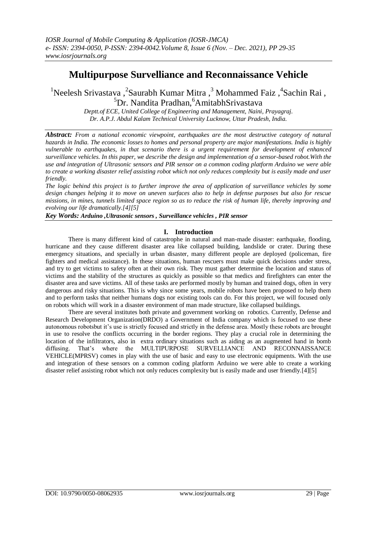# **Multipurpose Survelliance and Reconnaissance Vehicle**

<sup>1</sup>Neelesh Srivastava ,<sup>2</sup>Saurabh Kumar Mitra ,<sup>3</sup> Mohammed Faiz ,<sup>4</sup>Sachin Rai ,  ${}^{5}Dr.$  Nandita Pradhan, ${}^{6}AmitabhSrivastava$ 

> *Deptt.of ECE, United College of Engineering and Management, Naini, Prayagraj. Dr. A.P.J. Abdul Kalam Technical University Lucknow, Uttar Pradesh, India.*

*Abstract: From a national economic viewpoint, earthquakes are the most destructive category of natural hazards in India. The economic losses to homes and personal property are major manifestations. India is highly vulnerable to earthquakes, in that scenario there is a urgent requirement for development of enhanced surveillance vehicles. In this paper, we describe the design and implementation of a sensor-based robot.With the use and integration of Ultrasonic sensors and PIR sensor on a common coding platform Arduino we were able to create a working disaster relief assisting robot which not only reduces complexity but is easily made and user friendly.*

*The logic behind this project is to further improve the area of application of surveillance vehicles by some design changes helping it to move on uneven surfaces also to help in defense purposes but also for rescue missions, in mines, tunnels limited space region so as to reduce the risk of human life, thereby improving and evolving our life dramatically.[4][5]*

*Key Words: Arduino ,Ultrasonic sensors , Surveillance vehicles , PIR sensor*

## **I. Introduction**

There is many different kind of catastrophe in natural and man-made disaster: earthquake, flooding, hurricane and they cause different disaster area like collapsed building, landslide or crater. During these emergency situations, and specially in urban disaster, many different people are deployed (policeman, fire fighters and medical assistance). In these situations, human rescuers must make quick decisions under stress, and try to get victims to safety often at their own risk. They must gather determine the location and status of victims and the stability of the structures as quickly as possible so that medics and firefighters can enter the disaster area and save victims. All of these tasks are performed mostly by human and trained dogs, often in very dangerous and risky situations. This is why since some years, mobile robots have been proposed to help them and to perform tasks that neither humans dogs nor existing tools can do. For this project, we will focused only on robots which will work in a disaster environment of man made structure, like collapsed buildings.

There are several institutes both private and government working on robotics. Currently, Defense and Research Development Organization(DRDO) a Government of India company which is focused to use these autonomous robotsbut it's use is strictly focused and strictly in the defense area. Mostly these robots are brought in use to resolve the conflicts occurring in the border regions. They play a crucial role in determining the location of the infiltrators, also in extra ordinary situations such as aiding as an augmented hand in bomb diffusing. That's where the MULTIPURPOSE SURVELLIANCE AND RECONNAISSANCE diffusing. That's where the MULTIPURPOSE SURVELLIANCE AND VEHICLE(MPRSV) comes in play with the use of basic and easy to use electronic equipments. With the use and integration of these sensors on a common coding platform Arduino we were able to create a working disaster relief assisting robot which not only reduces complexity but is easily made and user friendly.[4][5]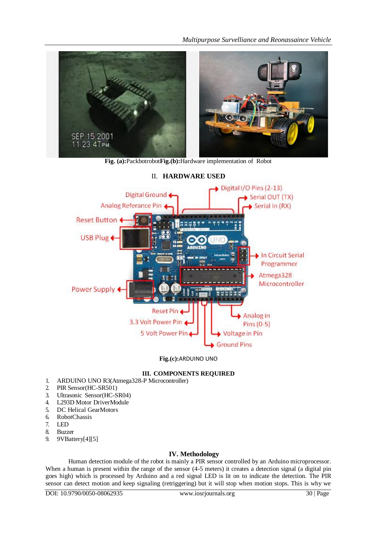

**Fig. (a):**Packbotrobot**Fig.(b):**Hardware implementation of Robot



II. **HARDWARE USED**

**Fig.(c):**ARDUINO UNO

# **III. COMPONENTS REQUIRED**

- 1. ARDUINO UNO R3(Atmega328-P Microcontroller)
- 2. PIR Sensor(HC-SR501)
- 3. Ultrasonic Sensor(HC-SR04)
- 4. L293D Motor DriverModule
- 5. DC Helical GearMotors
- 6. RobotChassis
- 7. LED
- 8. Buzzer
- 9. 9VBattery[4][5]

# **IV. Methodology**

Human detection module of the robot is mainly a PIR sensor controlled by an Arduino microprocessor. When a human is present within the range of the sensor  $(4-5$  meters) it creates a detection signal (a digital pin goes high) which is processed by Arduino and a red signal LED is lit on to indicate the detection. The PIR sensor can detect motion and keep signaling (retriggering) but it will stop when motion stops. This is why we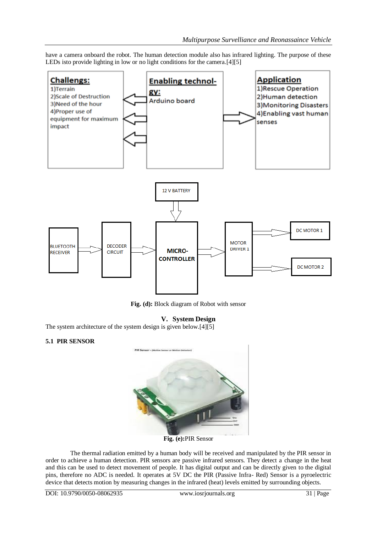have a camera onboard the robot. The human detection module also has infrared lighting. The purpose of these LEDs isto provide lighting in low or no light conditions for the camera.<sup>[4][5]</sup>



**Fig. (d):** Block diagram of Robot with sensor

## **V. System Design**

The system architecture of the system design is given below.[4][5]

#### **5.1 PIR SENSOR**



**Fig. (e):**PIR Sensor

The thermal radiation emitted by a human body will be received and manipulated by the PIR sensor in order to achieve a human detection. PIR sensors are passive infrared sensors. They detect a change in the heat and this can be used to detect movement of people. It has digital output and can be directly given to the digital pins, therefore no ADC is needed. It operates at 5V DC the PIR (Passive Infra- Red) Sensor is a pyroelectric device that detects motion by measuring changes in the infrared (heat) levels emitted by surrounding objects.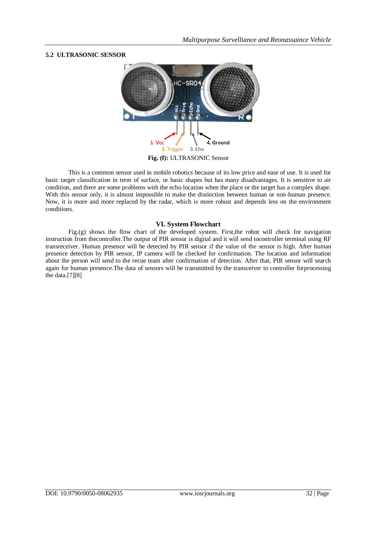## **5.2 ULTRASONIC SENSOR**



This is a common sensor used in mobile robotics because of its low price and ease of use. It is used for basic target classification in term of surface, or basic shapes but has many disadvantages. It is sensitive to air condition, and there are some problems with the echo location when the place or the target has a complex shape. With this sensor only, it is almost impossible to make the distinction between human or non-human presence. Now, it is more and more replaced by the radar, which is more robust and depends less on the environment conditions.

## **VI. System Flowchart**

Fig.(g) shows the flow chart of the developed system. First,the robot will check for navigation instruction from thecontroller.The output of PIR sensor is digital and it will send tocontroller terminal using RF transreceiver. Human presence will be detected by PIR sensor if the value of the sensor is high. After human presence detection by PIR sensor, IP camera will be checked for confirmation. The location and information about the person will send to the recue team after confirmation of detection. After that, PIR sensor will search again for human presence.The data of sensors will be transmitted by the transceiver to controller forprocessing the data.[7][8]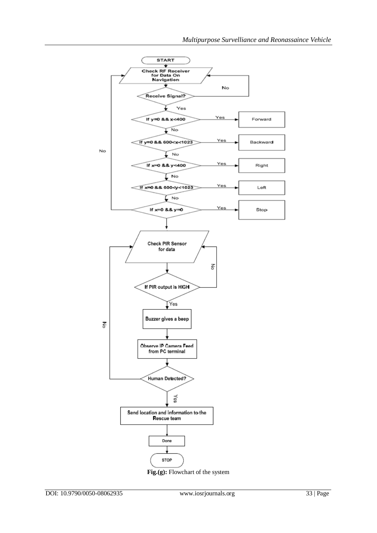

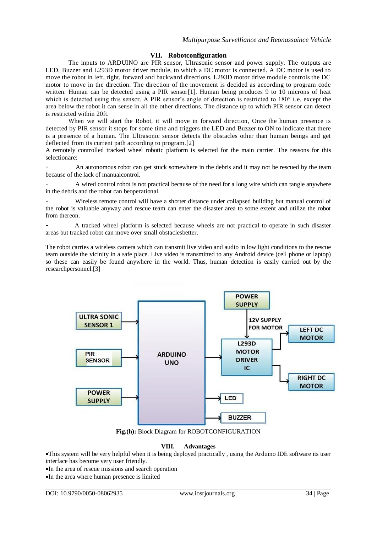## **VII. Robotconfiguration**

The inputs to ARDUINO are PIR sensor, Ultrasonic sensor and power supply. The outputs are LED, Buzzer and L293D motor driver module, to which a DC motor is connected. A DC motor is used to move the robot in left, right, forward and backward directions. L293D motor drive module controls the DC motor to move in the direction. The direction of the movement is decided as according to program code written. Human can be detected using a PIR sensor [1]. Human being produces 9 to 10 microns of heat which is detected using this sensor. A PIR sensor's angle of detection is restricted to 180<sup>°</sup> i.e. except the area below the robot it can sense in all the other directions. The distance up to which PIR sensor can detect is restricted within 20ft.

When we will start the Robot, it will move in forward direction, Once the human presence is detected by PIR sensor it stops for some time and triggers the LED and Buzzer to ON to indicate that there is a presence of a human. The Ultrasonic sensor detects the obstacles other than human beings and get deflected from its current path according to program.[2]

A remotely controlled tracked wheel robotic platform is selected for the main carrier. The reasons for this selectionare:

An autonomous robot can get stuck somewhere in the debris and it may not be rescued by the team because of the lack of manualcontrol.

A wired control robot is not practical because of the need for a long wire which can tangle anywhere in the debris and the robot can beoperational.

Wireless remote control will have a shorter distance under collapsed building but manual control of the robot is valuable anyway and rescue team can enter the disaster area to some extent and utilize the robot from thereon.

A tracked wheel platform is selected because wheels are not practical to operate in such disaster areas but tracked robot can move over small obstaclesbetter.

The robot carries a wireless camera which can transmit live video and audio in low light conditions to the rescue team outside the vicinity in a safe place. Live video is transmitted to any Android device (cell phone or laptop) so these can easily be found anywhere in the world. Thus, human detection is easily carried out by the researchpersonnel.[3]



**Fig.(h):** Block Diagram for ROBOTCONFIGURATION

## **VIII. Advantages**

This system will be very helpful when it is being deployed practically , using the Arduino IDE software its user interface has become very user friendly.

In the area of rescue missions and search operation

In the area where human presence is limited